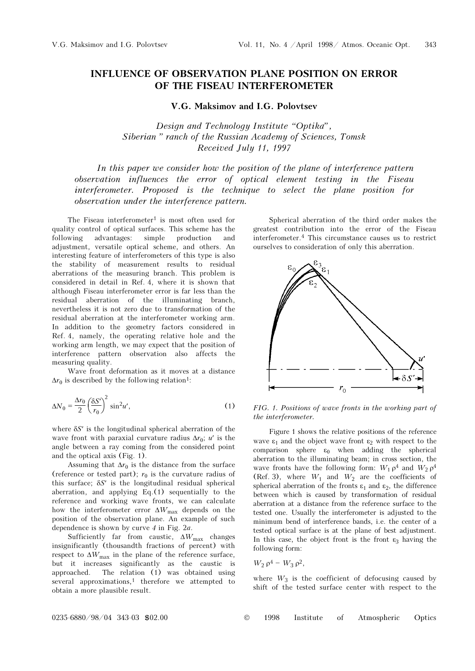## INFLUENCE OF OBSERVATION PLANE POSITION ON ERROR OF THE FISEAU INTERFEROMETER

## V.G. Maksimov and I.G. Polovtsev

Design and Technology Institute "Optika", Siberian" ranch of the Russian Academy of Sciences, Tomsk Received July 11, 1997

In this paper we consider how the position of the plane of interference pattern observation influences the error of optical element testing in the Fiseau interferometer. Proposed is the technique to select the plane position for observation under the interference pattern.

The Fiseau interferometer<sup>1</sup> is most often used for quality control of optical surfaces. This scheme has the following advantages: simple production and adjustment, versatile optical scheme, and others. An interesting feature of interferometers of this type is also the stability of measurement results to residual aberrations of the measuring branch. This problem is considered in detail in Ref. 4, where it is shown that although Fiseau interferometer error is far less than the residual aberration of the illuminating branch, nevertheless it is not zero due to transformation of the residual aberration at the interferometer working arm. In addition to the geometry factors considered in Ref. 4, namely, the operating relative hole and the working arm length, we may expect that the position of interference pattern observation also affects the measuring quality.

Wave front deformation as it moves at a distance  $\Delta r_0$  is described by the following relation<sup>1</sup>:

$$
\Delta N_0 = \frac{\Delta r_0}{2} \left(\frac{\delta S'}{r_0}\right)^2 \sin^2 u',\tag{1}
$$

where  $\delta S'$  is the longitudinal spherical aberration of the wave front with paraxial curvature radius  $\Delta r_0$ ; u' is the angle between a ray coming from the considered point and the optical axis (Fig. 1).

Assuming that  $\Delta r_0$  is the distance from the surface (reference or tested part);  $r_0$  is the curvature radius of this surface; δS′ is the longitudinal residual spherical aberration, and applying  $Eq.(1)$  sequentially to the reference and working wave fronts, we can calculate how the interferometer error  $\Delta W_{\text{max}}$  depends on the position of the observation plane. An example of such dependence is shown by curve 4 in Fig. 2a.

Sufficiently far from caustic,  $\Delta W_{\text{max}}$  changes insignificantly (thousandth fractions of percent) with respect to  $\Delta W_{\text{max}}$  in the plane of the reference surface, but it increases significantly as the caustic is approached. The relation (1) was obtained using several approximations, $<sup>1</sup>$  therefore we attempted to</sup> obtain a more plausible result.

Spherical aberration of the third order makes the greatest contribution into the error of the Fiseau interferometer.4 This circumstance causes us to restrict ourselves to consideration of only this aberration.



FIG. 1. Positions of wave fronts in the working part of the interferometer.

Figure 1 shows the relative positions of the reference wave  $\varepsilon_1$  and the object wave front  $\varepsilon_2$  with respect to the comparison sphere  $\varepsilon_0$  when adding the spherical aberration to the illuminating beam; in cross section, the wave fronts have the following form:  $W_1 \rho^4$  and  $W_2 \rho^4$ (Ref. 3), where  $W_1$  and  $W_2$  are the coefficients of spherical aberration of the fronts  $\varepsilon_1$  and  $\varepsilon_2$ , the difference between which is caused by transformation of residual aberration at a distance from the reference surface to the tested one. Usually the interferometer is adjusted to the minimum bend of interference bands, i.e. the center of a tested optical surface is at the plane of best adjustment. In this case, the object front is the front  $\varepsilon_3$  having the following form:

$$
W_2 \rho^4 - W_3 \rho^2,
$$

where  $W_3$  is the coefficient of defocusing caused by shift of the tested surface center with respect to the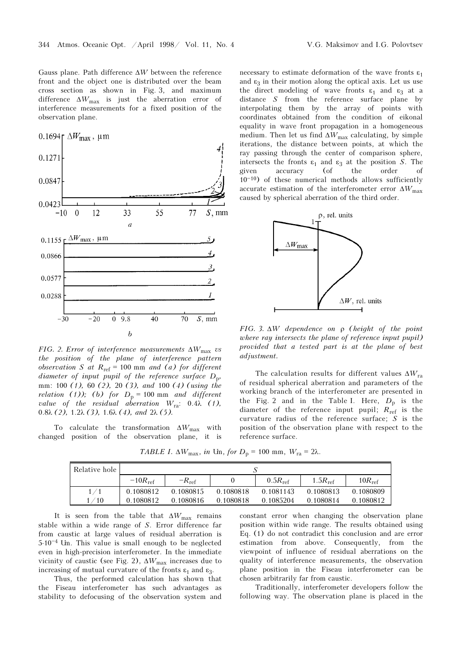Gauss plane. Path difference  $\Delta W$  between the reference front and the object one is distributed over the beam cross section as shown in Fig. 3, and maximum difference  $\Delta W_{\text{max}}$  is just the aberration error of interference measurements for a fixed position of the observation plane.



FIG. 2. Error of interference measurements  $\Delta W_{\text{max}}$  vs the position of the plane of interference pattern observation S at  $R_{ref} = 100$  mm and (a) for different diameter of input pupil of the reference surface  $D_p$ , mm: 100 (1), 60 (2), 20 (3), and 100 (4) (using the relation (1)); (b) for  $D_p = 100$  mm and different value of the residual aberration  $W_{\text{ra}}$ : 0.4 $\lambda$  (1), 0.8λ (2), 1.2λ (3), 1.6λ (4), and  $2\lambda$  (5).

To calculate the transformation  $\Delta W_{\text{max}}$  with changed position of the observation plane, it is

necessary to estimate deformation of the wave fronts  $\varepsilon_1$ and  $\varepsilon_3$  in their motion along the optical axis. Let us use the direct modeling of wave fronts  $\varepsilon_1$  and  $\varepsilon_3$  at a distance S from the reference surface plane by interpolating them by the array of points with coordinates obtained from the condition of eikonal equality in wave front propagation in a homogeneous medium. Then let us find  $\Delta W_{\text{max}}$  calculating, by simple iterations, the distance between points, at which the ray passing through the center of comparison sphere, intersects the fronts  $\varepsilon_1$  and  $\varepsilon_3$  at the position S. The given accuracy (of the order of accuracy (of the order of  $10^{-10}$ ) of these numerical methods allows sufficiently accurate estimation of the interferometer error  $\Delta W_{\text{max}}$ caused by spherical aberration of the third order.



FIG. 3.  $\Delta W$  dependence on  $\rho$  (height of the point where ray intersects the plane of reference input pupil) provided that a tested part is at the plane of best adjustment.

The calculation results for different values  $\Delta W_{\text{ra}}$ of residual spherical aberration and parameters of the working branch of the interferometer are presented in the Fig. 2 and in the Table I. Here,  $D_p$  is the diameter of the reference input pupil;  $R_{\text{ref}}$  is the curvature radius of the reference surface; S is the position of the observation plane with respect to the reference surface.

TABLE I.  $\Delta W_{\text{max}}$ , in Um, for  $D_{\text{p}} = 100$  mm,  $W_{\text{ra}} = 2\lambda$ .

| Relative hole |                     |                   |           |              |                     |                    |
|---------------|---------------------|-------------------|-----------|--------------|---------------------|--------------------|
|               | $-10R_{\text{ref}}$ | $-R_{\text{ref}}$ |           | $0.5R_{ref}$ | $1.5R_{\text{ref}}$ | $10R_{\text{ref}}$ |
|               | 0.1080812           | 0.1080815         | 0.1080818 | 0.1081143    | 0.1080813           | 0.1080809          |
| $^\prime$ 10  | 0.1080812           | 0.1080816         | 0.1080818 | 0.1085204    | 0.1080814           | 0.1080812          |

It is seen from the table that  $\Delta W_{\text{max}}$  remains stable within a wide range of S. Error difference far from caustic at large values of residual aberration is  $5·10<sup>-4</sup>$  Um. This value is small enough to be neglected even in high-precision interferometer. In the immediate vicinity of caustic (see Fig. 2),  $\Delta W_{\rm max}$  increases due to increasing of mutual curvature of the fronts  $\varepsilon_1$  and  $\varepsilon_3$ .

Thus, the performed calculation has shown that the Fiseau interferometer has such advantages as stability to defocusing of the observation system and constant error when changing the observation plane position within wide range. The results obtained using Eq. (1) do not contradict this conclusion and are error estimation from above. Consequently, from the viewpoint of influence of residual aberrations on the quality of interference measurements, the observation plane position in the Fiseau interferometer can be chosen arbitrarily far from caustic.

Traditionally, interferometer developers follow the following way. The observation plane is placed in the